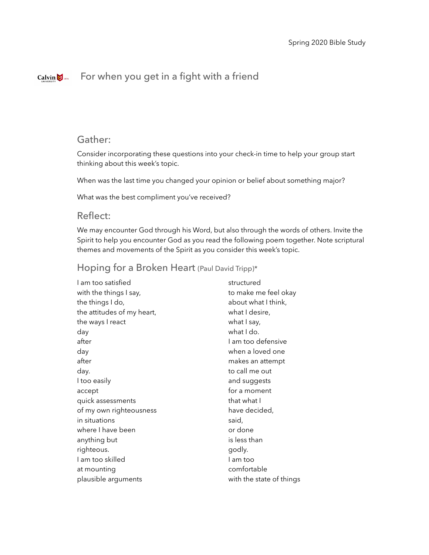#### For when you get in a fight with a friendCalvin  $\bigotimes$  1876

## Gather:

Consider incorporating these questions into your check-in time to help your group start thinking about this week's topic.

When was the last time you changed your opinion or belief about something major?

What was the best compliment you've received?

## Reflect:

We may encounter God through his Word, but also through the words of others. Invite the Spirit to help you encounter God as you read the following poem together. Note scriptural themes and movements of the Spirit as you consider this week's topic.

## Hoping for a Broken Heart (Paul David Tripp)\*

| Lam too satisfied          | structured               |
|----------------------------|--------------------------|
| with the things I say,     | to make me feel okay     |
| the things I do,           | about what I think,      |
| the attitudes of my heart, | what I desire,           |
| the ways I react           | what I say,              |
| day                        | what I do.               |
| after                      | I am too defensive       |
| day                        | when a loved one         |
| after                      | makes an attempt         |
| day.                       | to call me out           |
| I too easily               | and suggests             |
| accept                     | for a moment             |
| quick assessments          | that what I              |
| of my own righteousness    | have decided,            |
| in situations              | said,                    |
| where I have been          | or done                  |
| anything but               | is less than             |
| righteous.                 | godly.                   |
| I am too skilled           | l am too                 |
| at mounting                | comfortable              |
| plausible arguments        | with the state of things |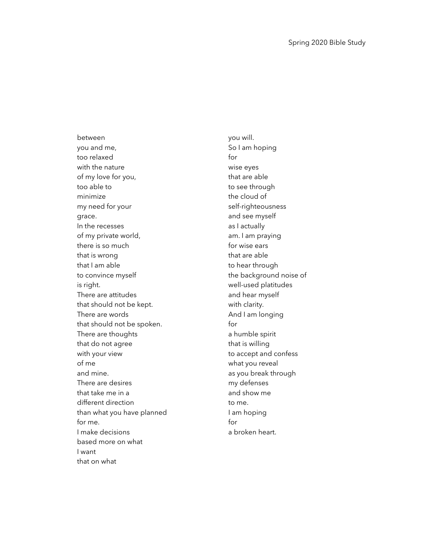between you and me, too relaxed with the nature of my love for you, too able to minimize my need for your grace. In the recesses of my private world, there is so much that is wrong that I am able to convince myself is right. There are attitudes that should not be kept. There are words that should not be spoken. There are thoughts that do not agree with your view of me and mine. There are desires that take me in a different direction than what you have planned for me. I make decisions based more on what I want that on what

you will. So I am hoping for wise eyes that are able to see through the cloud of self-righteousness and see myself as I actually am. I am praying for wise ears that are able to hear through the background noise of well-used platitudes and hear myself with clarity. And I am longing for a humble spirit that is willing to accept and confess what you reveal as you break through my defenses and show me to me. I am hoping for a broken heart.